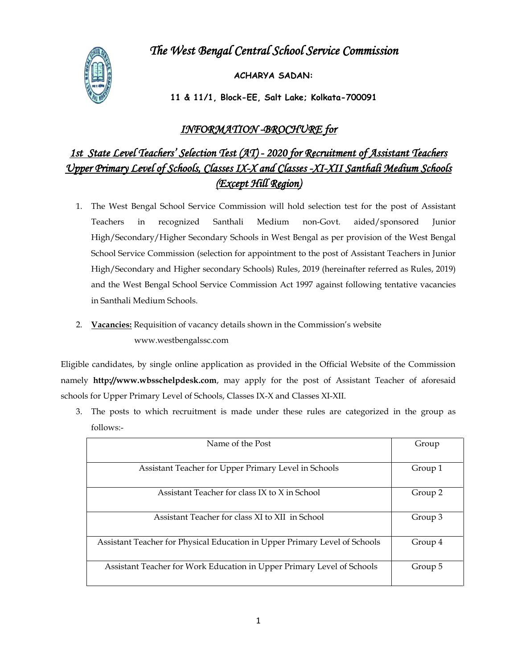# *The West Bengal Central School Service Commission*



 **ACHARYA SADAN:**

 **11 & 11/1, Block-EE, Salt Lake; Kolkata-700091**

# *INFORMATION -BROCHURE for*

# *1st State Level Teachers' Selection Test (AT) - 2020 for Recruitment of Assistant Teachers Upper Primary Level of Schools, Classes IX-X and Classes -XI-XII Santhali Medium Schools (Except Hill Region)*

- 1. The West Bengal School Service Commission will hold selection test for the post of Assistant Teachers in recognized Santhali Medium non-Govt. aided/sponsored Junior High/Secondary/Higher Secondary Schools in West Bengal as per provision of the West Bengal School Service Commission (selection for appointment to the post of Assistant Teachers in Junior High/Secondary and Higher secondary Schools) Rules, 2019 (hereinafter referred as Rules, 2019) and the West Bengal School Service Commission Act 1997 against following tentative vacancies in Santhali Medium Schools.
- 2. **Vacancies:** Requisition of vacancy details shown in the Commission's website www.westbengalssc.com

Eligible candidates, by single online application as provided in the Official Website of the Commission namely **http://www.wbsschelpdesk.com**, may apply for the post of Assistant Teacher of aforesaid schools for Upper Primary Level of Schools, Classes IX-X and Classes XI-XII.

3. The posts to which recruitment is made under these rules are categorized in the group as follows:-

| Name of the Post                                                           | Group   |
|----------------------------------------------------------------------------|---------|
| Assistant Teacher for Upper Primary Level in Schools                       | Group 1 |
| Assistant Teacher for class IX to X in School                              | Group 2 |
| Assistant Teacher for class XI to XII in School                            | Group 3 |
| Assistant Teacher for Physical Education in Upper Primary Level of Schools | Group 4 |
| Assistant Teacher for Work Education in Upper Primary Level of Schools     | Group 5 |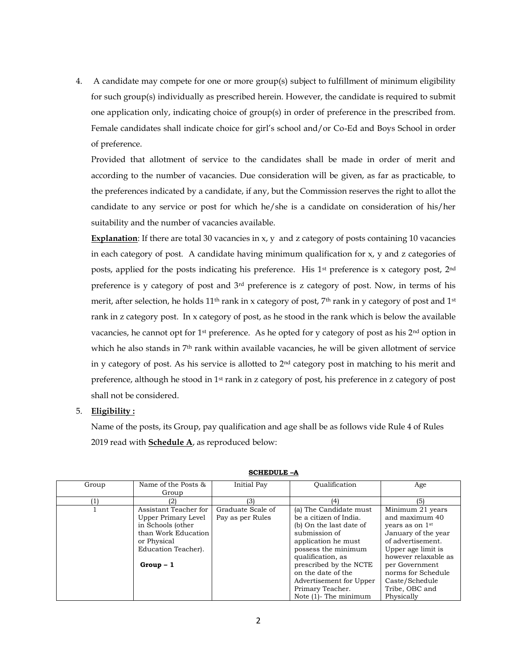4. A candidate may compete for one or more group(s) subject to fulfillment of minimum eligibility for such group(s) individually as prescribed herein. However, the candidate is required to submit one application only, indicating choice of group(s) in order of preference in the prescribed from. Female candidates shall indicate choice for girl's school and/or Co-Ed and Boys School in order of preference.

Provided that allotment of service to the candidates shall be made in order of merit and according to the number of vacancies. Due consideration will be given, as far as practicable, to the preferences indicated by a candidate, if any, but the Commission reserves the right to allot the candidate to any service or post for which he/she is a candidate on consideration of his/her suitability and the number of vacancies available.

**Explanation**: If there are total 30 vacancies in x, y and z category of posts containing 10 vacancies in each category of post. A candidate having minimum qualification for x, y and z categories of posts, applied for the posts indicating his preference. His  $1<sup>st</sup>$  preference is x category post,  $2<sup>nd</sup>$ preference is y category of post and 3rd preference is z category of post. Now, in terms of his merit, after selection, he holds 11<sup>th</sup> rank in x category of post, 7<sup>th</sup> rank in y category of post and 1<sup>st</sup> rank in z category post. In x category of post, as he stood in the rank which is below the available vacancies, he cannot opt for  $1$ <sup>st</sup> preference. As he opted for y category of post as his  $2<sup>nd</sup>$  option in which he also stands in 7<sup>th</sup> rank within available vacancies, he will be given allotment of service in y category of post. As his service is allotted to 2nd category post in matching to his merit and preference, although he stood in 1st rank in z category of post, his preference in z category of post shall not be considered.

### 5. **Eligibility :**

Name of the posts, its Group, pay qualification and age shall be as follows vide Rule 4 of Rules 2019 read with **Schedule A**, as reproduced below:

| Group | Name of the Posts &   | Initial Pay       | Oualification            | Age                  |
|-------|-----------------------|-------------------|--------------------------|----------------------|
|       | Group                 |                   |                          |                      |
|       | (2)                   | (3)               | (4)                      | (5)                  |
|       | Assistant Teacher for | Graduate Scale of | (a) The Candidate must   | Minimum 21 years     |
|       | Upper Primary Level   | Pay as per Rules  | be a citizen of India.   | and maximum 40       |
|       | in Schools (other     |                   | (b) On the last date of  | vears as on 1st      |
|       | than Work Education   |                   | submission of            | January of the year  |
|       | or Physical           |                   | application he must      | of advertisement.    |
|       | Education Teacher).   |                   | possess the minimum      | Upper age limit is   |
|       |                       |                   | qualification, as        | however relaxable as |
|       | $Group-1$             |                   | prescribed by the NCTE   | per Government       |
|       |                       |                   | on the date of the       | norms for Schedule   |
|       |                       |                   | Advertisement for Upper  | Caste/Schedule       |
|       |                       |                   | Primary Teacher.         | Tribe, OBC and       |
|       |                       |                   | Note $(1)$ - The minimum | Physically           |

**SCHEDULE –A**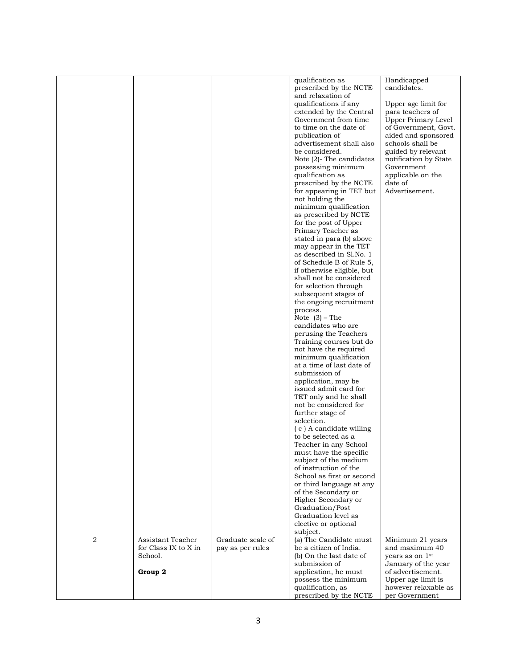|                |                      |                   | qualification as            | Handicapped           |
|----------------|----------------------|-------------------|-----------------------------|-----------------------|
|                |                      |                   | prescribed by the NCTE      | candidates.           |
|                |                      |                   | and relaxation of           |                       |
|                |                      |                   | qualifications if any       | Upper age limit for   |
|                |                      |                   | extended by the Central     | para teachers of      |
|                |                      |                   | Government from time        | Upper Primary Level   |
|                |                      |                   | to time on the date of      | of Government, Govt.  |
|                |                      |                   | publication of              | aided and sponsored   |
|                |                      |                   | advertisement shall also    | schools shall be      |
|                |                      |                   | be considered.              | guided by relevant    |
|                |                      |                   | Note $(2)$ - The candidates | notification by State |
|                |                      |                   | possessing minimum          | Government            |
|                |                      |                   | qualification as            | applicable on the     |
|                |                      |                   | prescribed by the NCTE      | date of               |
|                |                      |                   | for appearing in TET but    | Advertisement.        |
|                |                      |                   | not holding the             |                       |
|                |                      |                   | minimum qualification       |                       |
|                |                      |                   | as prescribed by NCTE       |                       |
|                |                      |                   | for the post of Upper       |                       |
|                |                      |                   | Primary Teacher as          |                       |
|                |                      |                   | stated in para (b) above    |                       |
|                |                      |                   | may appear in the TET       |                       |
|                |                      |                   | as described in Sl.No. 1    |                       |
|                |                      |                   | of Schedule B of Rule 5,    |                       |
|                |                      |                   | if otherwise eligible, but  |                       |
|                |                      |                   | shall not be considered     |                       |
|                |                      |                   | for selection through       |                       |
|                |                      |                   | subsequent stages of        |                       |
|                |                      |                   | the ongoing recruitment     |                       |
|                |                      |                   | process.                    |                       |
|                |                      |                   | Note $(3)$ – The            |                       |
|                |                      |                   | candidates who are          |                       |
|                |                      |                   | perusing the Teachers       |                       |
|                |                      |                   | Training courses but do     |                       |
|                |                      |                   | not have the required       |                       |
|                |                      |                   | minimum qualification       |                       |
|                |                      |                   | at a time of last date of   |                       |
|                |                      |                   | submission of               |                       |
|                |                      |                   | application, may be         |                       |
|                |                      |                   | issued admit card for       |                       |
|                |                      |                   | TET only and he shall       |                       |
|                |                      |                   | not be considered for       |                       |
|                |                      |                   | further stage of            |                       |
|                |                      |                   | selection.                  |                       |
|                |                      |                   | (c) A candidate willing     |                       |
|                |                      |                   | to be selected as a         |                       |
|                |                      |                   | Teacher in any School       |                       |
|                |                      |                   | must have the specific      |                       |
|                |                      |                   | subject of the medium       |                       |
|                |                      |                   | of instruction of the       |                       |
|                |                      |                   | School as first or second   |                       |
|                |                      |                   | or third language at any    |                       |
|                |                      |                   | of the Secondary or         |                       |
|                |                      |                   | Higher Secondary or         |                       |
|                |                      |                   | Graduation/Post             |                       |
|                |                      |                   | Graduation level as         |                       |
|                |                      |                   | elective or optional        |                       |
|                |                      |                   | subject.                    |                       |
| $\overline{2}$ | Assistant Teacher    | Graduate scale of | (a) The Candidate must      | Minimum 21 years      |
|                | for Class IX to X in | pay as per rules  | be a citizen of India.      | and maximum 40        |
|                | School.              |                   | (b) On the last date of     | years as on 1st       |
|                |                      |                   | submission of               | January of the year   |
|                | Group 2              |                   | application, he must        | of advertisement.     |
|                |                      |                   | possess the minimum         | Upper age limit is    |
|                |                      |                   | qualification, as           | however relaxable as  |
|                |                      |                   | prescribed by the NCTE      | per Government        |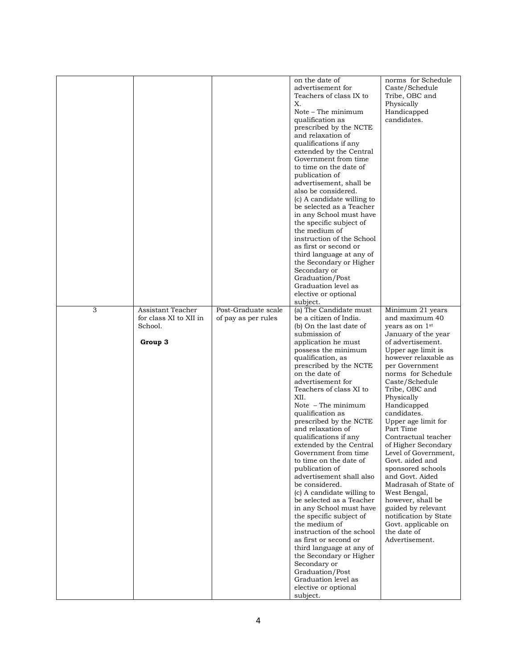|   |                                              |                     | on the date of<br>advertisement for<br>Teachers of class IX to<br>Х.<br>Note – The minimum<br>qualification as<br>prescribed by the NCTE<br>and relaxation of<br>qualifications if any<br>extended by the Central<br>Government from time<br>to time on the date of<br>publication of<br>advertisement, shall be<br>also be considered.<br>(c) A candidate willing to<br>be selected as a Teacher<br>in any School must have<br>the specific subject of<br>the medium of<br>instruction of the School<br>as first or second or<br>third language at any of<br>the Secondary or Higher<br>Secondary or<br>Graduation/Post<br>Graduation level as<br>elective or optional<br>subject.                                                                                                                                                                    | norms for Schedule<br>Caste/Schedule<br>Tribe, OBC and<br>Physically<br>Handicapped<br>candidates.                                                                                                                                                                                                                                                                                                                                                                                                                                                                                                       |
|---|----------------------------------------------|---------------------|--------------------------------------------------------------------------------------------------------------------------------------------------------------------------------------------------------------------------------------------------------------------------------------------------------------------------------------------------------------------------------------------------------------------------------------------------------------------------------------------------------------------------------------------------------------------------------------------------------------------------------------------------------------------------------------------------------------------------------------------------------------------------------------------------------------------------------------------------------|----------------------------------------------------------------------------------------------------------------------------------------------------------------------------------------------------------------------------------------------------------------------------------------------------------------------------------------------------------------------------------------------------------------------------------------------------------------------------------------------------------------------------------------------------------------------------------------------------------|
| 3 | Assistant Teacher                            | Post-Graduate scale | (a) The Candidate must                                                                                                                                                                                                                                                                                                                                                                                                                                                                                                                                                                                                                                                                                                                                                                                                                                 | Minimum 21 years                                                                                                                                                                                                                                                                                                                                                                                                                                                                                                                                                                                         |
|   | for class XI to XII in<br>School.<br>Group 3 | of pay as per rules | be a citizen of India.<br>(b) On the last date of<br>submission of<br>application he must<br>possess the minimum<br>qualification, as<br>prescribed by the NCTE<br>on the date of<br>advertisement for<br>Teachers of class XI to<br>XII.<br>Note $-$ The minimum<br>qualification as<br>prescribed by the NCTE<br>and relaxation of<br>qualifications if any<br>extended by the Central<br>Government from time<br>to time on the date of<br>publication of<br>advertisement shall also<br>be considered.<br>(c) A candidate willing to<br>be selected as a Teacher<br>in any School must have<br>the specific subject of<br>the medium of<br>instruction of the school<br>as first or second or<br>third language at any of<br>the Secondary or Higher<br>Secondary or<br>Graduation/Post<br>Graduation level as<br>elective or optional<br>subject. | and maximum 40<br>years as on 1 <sup>st</sup><br>January of the year<br>of advertisement.<br>Upper age limit is<br>however relaxable as<br>per Government<br>norms for Schedule<br>Caste/Schedule<br>Tribe, OBC and<br>Physically<br>Handicapped<br>candidates.<br>Upper age limit for<br>Part Time<br>Contractual teacher<br>of Higher Secondary<br>Level of Government,<br>Govt. aided and<br>sponsored schools<br>and Govt. Aided<br>Madrasah of State of<br>West Bengal,<br>however, shall be<br>guided by relevant<br>notification by State<br>Govt. applicable on<br>the date of<br>Advertisement. |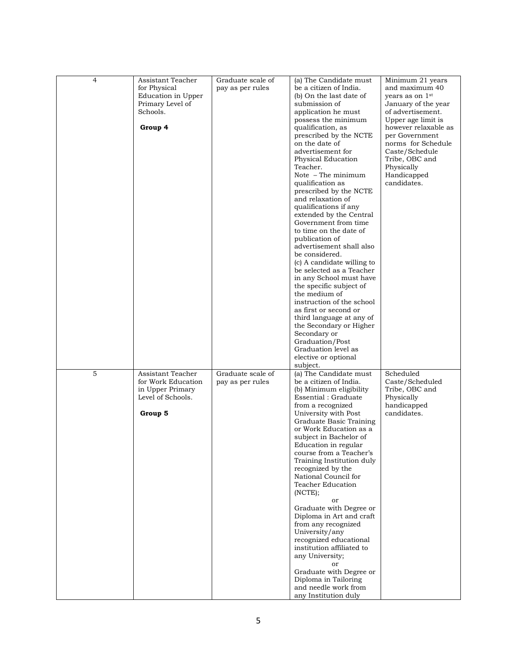| $\overline{4}$ | Assistant Teacher<br>for Physical<br>Education in Upper<br>Primary Level of<br>Schools.<br>Group 4 | Graduate scale of<br>pay as per rules | (a) The Candidate must<br>be a citizen of India.<br>(b) On the last date of<br>submission of<br>application he must<br>possess the minimum<br>qualification, as<br>prescribed by the NCTE<br>on the date of<br>advertisement for<br>Physical Education<br>Teacher.<br>Note $-$ The minimum<br>qualification as<br>prescribed by the NCTE<br>and relaxation of<br>qualifications if any<br>extended by the Central<br>Government from time<br>to time on the date of<br>publication of<br>advertisement shall also<br>be considered.<br>(c) A candidate willing to                                                                                                                    | Minimum 21 years<br>and maximum 40<br>vears as on $1st$<br>January of the year<br>of advertisement.<br>Upper age limit is<br>however relaxable as<br>per Government<br>norms for Schedule<br>Caste/Schedule<br>Tribe, OBC and<br>Physically<br>Handicapped<br>candidates. |
|----------------|----------------------------------------------------------------------------------------------------|---------------------------------------|--------------------------------------------------------------------------------------------------------------------------------------------------------------------------------------------------------------------------------------------------------------------------------------------------------------------------------------------------------------------------------------------------------------------------------------------------------------------------------------------------------------------------------------------------------------------------------------------------------------------------------------------------------------------------------------|---------------------------------------------------------------------------------------------------------------------------------------------------------------------------------------------------------------------------------------------------------------------------|
|                |                                                                                                    |                                       | be selected as a Teacher<br>in any School must have<br>the specific subject of<br>the medium of<br>instruction of the school<br>as first or second or<br>third language at any of<br>the Secondary or Higher<br>Secondary or<br>Graduation/Post<br>Graduation level as<br>elective or optional<br>subject.                                                                                                                                                                                                                                                                                                                                                                           |                                                                                                                                                                                                                                                                           |
| 5              | Assistant Teacher<br>for Work Education<br>in Upper Primary<br>Level of Schools.<br>Group 5        | Graduate scale of<br>pay as per rules | (a) The Candidate must<br>be a citizen of India.<br>(b) Minimum eligibility<br>Essential: Graduate<br>from a recognized<br>University with Post<br>Graduate Basic Training<br>or Work Education as a<br>subject in Bachelor of<br>Education in regular<br>course from a Teacher's<br>Training Institution duly<br>recognized by the<br>National Council for<br>Teacher Education<br>(NCTE);<br>or<br>Graduate with Degree or<br>Diploma in Art and craft<br>from any recognized<br>University/any<br>recognized educational<br>institution affiliated to<br>any University;<br>or<br>Graduate with Degree or<br>Diploma in Tailoring<br>and needle work from<br>any Institution duly | Scheduled<br>Caste/Scheduled<br>Tribe, OBC and<br>Physically<br>handicapped<br>candidates.                                                                                                                                                                                |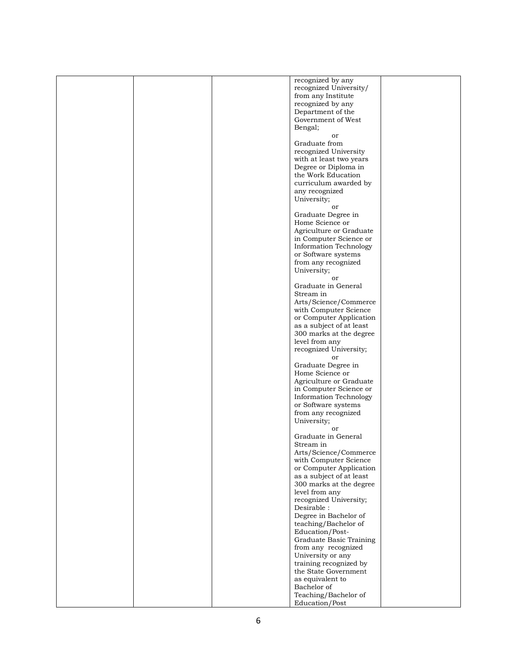|  | recognized by any             |  |
|--|-------------------------------|--|
|  |                               |  |
|  | recognized University/        |  |
|  | from any Institute            |  |
|  | recognized by any             |  |
|  |                               |  |
|  | Department of the             |  |
|  | Government of West            |  |
|  |                               |  |
|  | Bengal;                       |  |
|  | or                            |  |
|  | Graduate from                 |  |
|  |                               |  |
|  | recognized University         |  |
|  | with at least two years       |  |
|  |                               |  |
|  | Degree or Diploma in          |  |
|  | the Work Education            |  |
|  |                               |  |
|  | curriculum awarded by         |  |
|  | any recognized                |  |
|  | University;                   |  |
|  |                               |  |
|  | or                            |  |
|  | Graduate Degree in            |  |
|  |                               |  |
|  | Home Science or               |  |
|  | Agriculture or Graduate       |  |
|  |                               |  |
|  | in Computer Science or        |  |
|  | <b>Information Technology</b> |  |
|  | or Software systems           |  |
|  |                               |  |
|  | from any recognized           |  |
|  | University;                   |  |
|  |                               |  |
|  | or                            |  |
|  | Graduate in General           |  |
|  | Stream in                     |  |
|  |                               |  |
|  | Arts/Science/Commerce         |  |
|  | with Computer Science         |  |
|  |                               |  |
|  | or Computer Application       |  |
|  | as a subject of at least      |  |
|  |                               |  |
|  | 300 marks at the degree       |  |
|  | level from any                |  |
|  | recognized University;        |  |
|  |                               |  |
|  | or                            |  |
|  | Graduate Degree in            |  |
|  |                               |  |
|  | Home Science or               |  |
|  | Agriculture or Graduate       |  |
|  | in Computer Science or        |  |
|  |                               |  |
|  | <b>Information Technology</b> |  |
|  | or Software systems           |  |
|  |                               |  |
|  | from any recognized           |  |
|  | University;                   |  |
|  | or                            |  |
|  |                               |  |
|  | Graduate in General           |  |
|  | Stream in                     |  |
|  |                               |  |
|  | Arts/Science/Commerce         |  |
|  | with Computer Science         |  |
|  | or Computer Application       |  |
|  |                               |  |
|  | as a subject of at least      |  |
|  | 300 marks at the degree       |  |
|  | level from any                |  |
|  |                               |  |
|  | recognized University;        |  |
|  | Desirable :                   |  |
|  |                               |  |
|  | Degree in Bachelor of         |  |
|  | teaching/Bachelor of          |  |
|  | Education/Post-               |  |
|  |                               |  |
|  | Graduate Basic Training       |  |
|  | from any recognized           |  |
|  |                               |  |
|  | University or any             |  |
|  | training recognized by        |  |
|  | the State Government          |  |
|  |                               |  |
|  | as equivalent to              |  |
|  | Bachelor of                   |  |
|  | Teaching/Bachelor of          |  |
|  |                               |  |
|  | Education/Post                |  |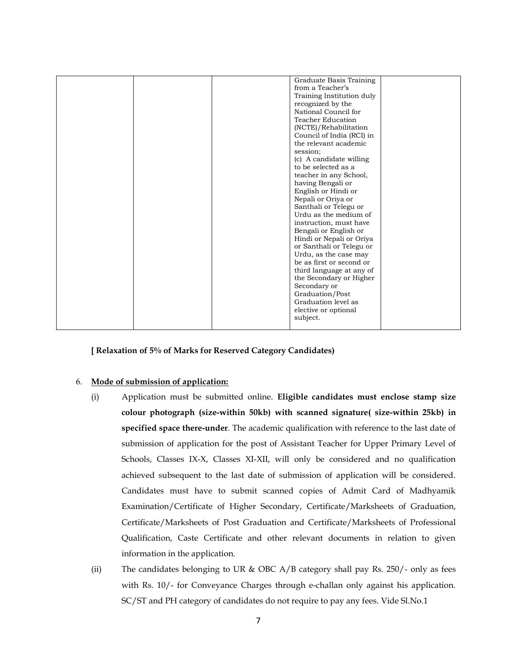| Graduate Basis Training   |  |
|---------------------------|--|
| from a Teacher's          |  |
| Training Institution duly |  |
| recognized by the         |  |
| National Council for      |  |
| <b>Teacher Education</b>  |  |
| (NCTE)/Rehabilitation     |  |
| Council of India (RCI) in |  |
| the relevant academic     |  |
| session;                  |  |
| (c) A candidate willing   |  |
| to be selected as a       |  |
| teacher in any School,    |  |
| having Bengali or         |  |
| English or Hindi or       |  |
| Nepali or Oriya or        |  |
| Santhali or Telegu or     |  |
| Urdu as the medium of     |  |
| instruction, must have    |  |
| Bengali or English or     |  |
| Hindi or Nepali or Oriya  |  |
| or Santhali or Telegu or  |  |
| Urdu, as the case may     |  |
| be as first or second or  |  |
| third language at any of  |  |
| the Secondary or Higher   |  |
| Secondary or              |  |
| Graduation/Post           |  |
| Graduation level as       |  |
|                           |  |
| elective or optional      |  |
| subject.                  |  |
|                           |  |

**[ Relaxation of 5% of Marks for Reserved Category Candidates)**

# 6. **Mode of submission of application:**

- (i) Application must be submitted online. **Eligible candidates must enclose stamp size colour photograph (size-within 50kb) with scanned signature( size-within 25kb) in specified space there-under**. The academic qualification with reference to the last date of submission of application for the post of Assistant Teacher for Upper Primary Level of Schools, Classes IX-X, Classes XI-XII, will only be considered and no qualification achieved subsequent to the last date of submission of application will be considered. Candidates must have to submit scanned copies of Admit Card of Madhyamik Examination/Certificate of Higher Secondary, Certificate/Marksheets of Graduation, Certificate/Marksheets of Post Graduation and Certificate/Marksheets of Professional Qualification, Caste Certificate and other relevant documents in relation to given information in the application.
- (ii) The candidates belonging to UR & OBC A/B category shall pay Rs. 250/- only as fees with Rs. 10/- for Conveyance Charges through e-challan only against his application. SC/ST and PH category of candidates do not require to pay any fees. Vide Sl.No.1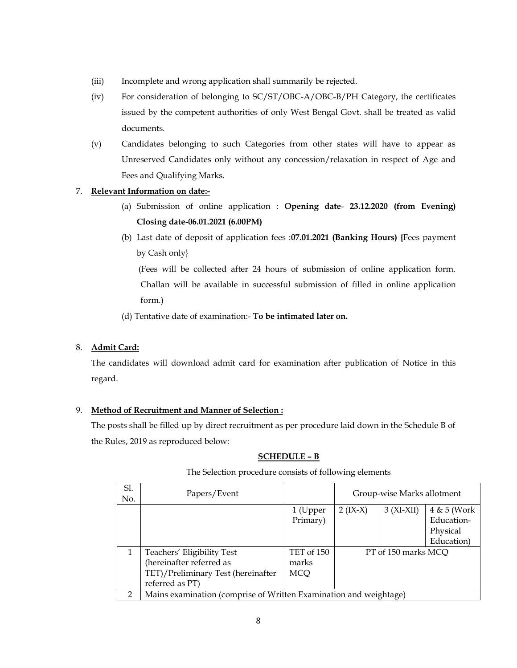- (iii) Incomplete and wrong application shall summarily be rejected.
- (iv) For consideration of belonging to SC/ST/OBC-A/OBC-B/PH Category, the certificates issued by the competent authorities of only West Bengal Govt. shall be treated as valid documents.
- (v) Candidates belonging to such Categories from other states will have to appear as Unreserved Candidates only without any concession/relaxation in respect of Age and Fees and Qualifying Marks.

# 7. **Relevant Information on date:-**

- (a) Submission of online application : **Opening date 23.12.2020 (from Evening) Closing date-06.01.2021 (6.00PM)**
- (b) Last date of deposit of application fees :**07.01.2021 (Banking Hours) {**Fees payment by Cash only}

 (Fees will be collected after 24 hours of submission of online application form. Challan will be available in successful submission of filled in online application form.)

(d) Tentative date of examination:- **To be intimated later on.**

#### 8. **Admit Card:**

The candidates will download admit card for examination after publication of Notice in this regard.

#### 9. **Method of Recruitment and Manner of Selection :**

The posts shall be filled up by direct recruitment as per procedure laid down in the Schedule B of the Rules, 2019 as reproduced below:

#### **SCHEDULE – B**

| Sl.<br>No.    | Papers/Event                                                      |                      |            | Group-wise Marks allotment |                                       |
|---------------|-------------------------------------------------------------------|----------------------|------------|----------------------------|---------------------------------------|
|               |                                                                   | 1 (Upper<br>Primary) | $2 (IX-X)$ | $3(XI-XII)$                | 4 & 5 (Work<br>Education-<br>Physical |
|               |                                                                   |                      |            |                            | Education)                            |
|               | Teachers' Eligibility Test                                        | TET of 150           |            | PT of 150 marks MCQ        |                                       |
|               | (hereinafter referred as                                          | marks                |            |                            |                                       |
|               | TET)/Preliminary Test (hereinafter                                | MCQ                  |            |                            |                                       |
|               | referred as PT)                                                   |                      |            |                            |                                       |
| $\mathcal{D}$ | Mains examination (comprise of Written Examination and weightage) |                      |            |                            |                                       |

The Selection procedure consists of following elements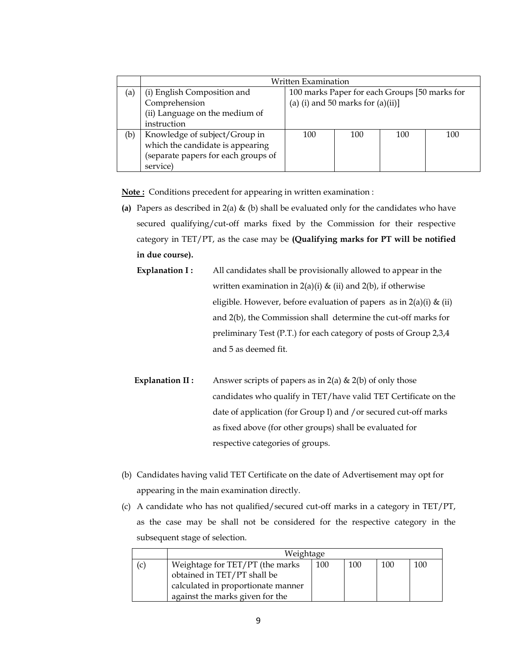|     |                                     | Written Examination                           |     |     |     |
|-----|-------------------------------------|-----------------------------------------------|-----|-----|-----|
| (a) | (i) English Composition and         | 100 marks Paper for each Groups [50 marks for |     |     |     |
|     | Comprehension                       | (a) (i) and 50 marks for $(a)(ii)$ ]          |     |     |     |
|     | (ii) Language on the medium of      |                                               |     |     |     |
|     | instruction                         |                                               |     |     |     |
| (b) | Knowledge of subject/Group in       | 100                                           | 100 | 100 | 100 |
|     | which the candidate is appearing    |                                               |     |     |     |
|     | (separate papers for each groups of |                                               |     |     |     |
|     | service)                            |                                               |     |     |     |

**Note :** Conditions precedent for appearing in written examination :

- **(a)** Papers as described in 2(a) & (b) shall be evaluated only for the candidates who have secured qualifying/cut-off marks fixed by the Commission for their respective category in TET/PT, as the case may be **(Qualifying marks for PT will be notified in due course).**
	- **Explanation I :** All candidates shall be provisionally allowed to appear in the written examination in  $2(a)(i)$  & (ii) and  $2(b)$ , if otherwise eligible. However, before evaluation of papers as in  $2(a)(i)$  & (ii) and 2(b), the Commission shall determine the cut-off marks for preliminary Test (P.T.) for each category of posts of Group 2,3,4 and 5 as deemed fit.
	- **Explanation II:** Answer scripts of papers as in  $2(a) \& 2(b)$  of only those candidates who qualify in TET/have valid TET Certificate on the date of application (for Group I) and /or secured cut-off marks as fixed above (for other groups) shall be evaluated for respective categories of groups.
- (b) Candidates having valid TET Certificate on the date of Advertisement may opt for appearing in the main examination directly.
- (c) A candidate who has not qualified/secured cut-off marks in a category in TET/PT, as the case may be shall not be considered for the respective category in the subsequent stage of selection.

|    | Weightage                                                                                                                               |     |     |     |     |
|----|-----------------------------------------------------------------------------------------------------------------------------------------|-----|-----|-----|-----|
| (c | Weightage for TET/PT (the marks<br>obtained in TET/PT shall be<br>calculated in proportionate manner<br>against the marks given for the | 100 | 100 | 100 | 100 |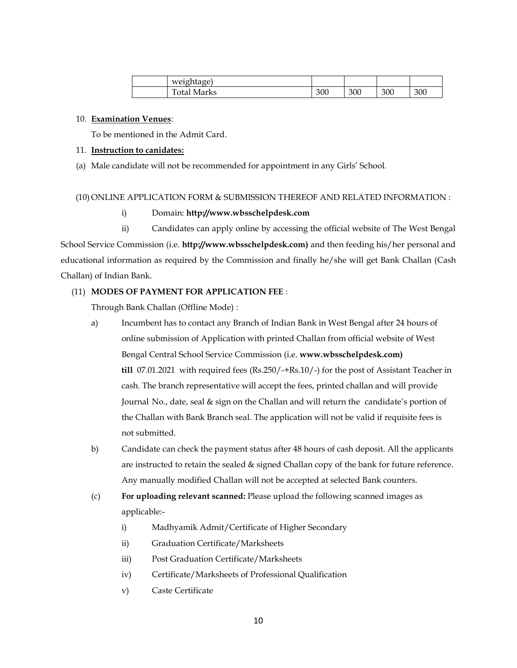| weightage)  |     |     |     |     |
|-------------|-----|-----|-----|-----|
| Total Marks | 300 | 300 | 300 | 300 |

#### 10. **Examination Venues**:

To be mentioned in the Admit Card.

#### 11. **Instruction to canidates:**

(a) Male candidate will not be recommended for appointment in any Girls' School.

### (10) ONLINE APPLICATION FORM & SUBMISSION THEREOF AND RELATED INFORMATION :

# i) Domain: **http://www.wbsschelpdesk.com**

ii) Candidates can apply online by accessing the official website of The West Bengal School Service Commission (i.e. **http://www.wbsschelpdesk.com)** and then feeding his/her personal and educational information as required by the Commission and finally he/she will get Bank Challan (Cash Challan) of Indian Bank.

### (11) **MODES OF PAYMENT FOR APPLICATION FEE** :

Through Bank Challan (Offline Mode) :

- a) Incumbent has to contact any Branch of Indian Bank in West Bengal after 24 hours of online submission of Application with printed Challan from official website of West Bengal Central School Service Commission (i.e. **www.wbsschelpdesk.com) till** 07.01.2021 with required fees (Rs.250/-+Rs.10/-) for the post of Assistant Teacher in cash. The branch representative will accept the fees, printed challan and will provide Journal No., date, seal & sign on the Challan and will return the candidate's portion of the Challan with Bank Branch seal. The application will not be valid if requisite fees is not submitted.
- b) Candidate can check the payment status after 48 hours of cash deposit. All the applicants are instructed to retain the sealed & signed Challan copy of the bank for future reference. Any manually modified Challan will not be accepted at selected Bank counters.
- (c) **For uploading relevant scanned:** Please upload the following scanned images as applicable:
	- i) Madhyamik Admit/Certificate of Higher Secondary
	- ii) Graduation Certificate/Marksheets
	- iii) Post Graduation Certificate/Marksheets
	- iv) Certificate/Marksheets of Professional Qualification
	- v) Caste Certificate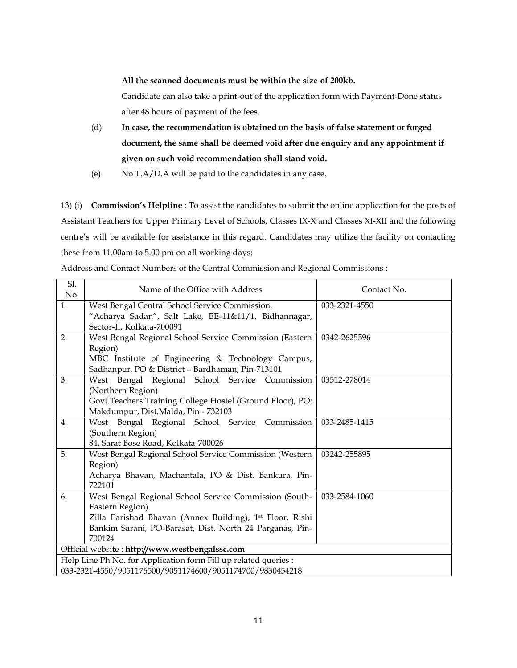**All the scanned documents must be within the size of 200kb.**

Candidate can also take a print-out of the application form with Payment-Done status after 48 hours of payment of the fees.

- (d) **In case, the recommendation is obtained on the basis of false statement or forged document, the same shall be deemed void after due enquiry and any appointment if given on such void recommendation shall stand void.**
- (e) No T.A/D.A will be paid to the candidates in any case.

13) (i) **Commission's Helpline** : To assist the candidates to submit the online application for the posts of Assistant Teachers for Upper Primary Level of Schools, Classes IX-X and Classes XI-XII and the following centre's will be available for assistance in this regard. Candidates may utilize the facility on contacting these from 11.00am to 5.00 pm on all working days:

| Address and Contact Numbers of the Central Commission and Regional Commissions : |
|----------------------------------------------------------------------------------|
|----------------------------------------------------------------------------------|

| Sl.<br>No.                                                      | Name of the Office with Address                                | Contact No.   |
|-----------------------------------------------------------------|----------------------------------------------------------------|---------------|
| 1.                                                              | West Bengal Central School Service Commission.                 | 033-2321-4550 |
|                                                                 | "Acharya Sadan", Salt Lake, EE-11&11/1, Bidhannagar,           |               |
|                                                                 | Sector-II, Kolkata-700091                                      |               |
| 2.                                                              | West Bengal Regional School Service Commission (Eastern        | 0342-2625596  |
|                                                                 | Region)                                                        |               |
|                                                                 | MBC Institute of Engineering & Technology Campus,              |               |
|                                                                 | Sadhanpur, PO & District - Bardhaman, Pin-713101               |               |
| 3.                                                              | West Bengal Regional School Service Commission                 | 03512-278014  |
|                                                                 | (Northern Region)                                              |               |
|                                                                 | Govt.Teachers'Training College Hostel (Ground Floor), PO:      |               |
|                                                                 | Makdumpur, Dist.Malda, Pin - 732103                            |               |
| 4.                                                              | West Bengal Regional School Service Commission                 | 033-2485-1415 |
|                                                                 | (Southern Region)                                              |               |
|                                                                 | 84, Sarat Bose Road, Kolkata-700026                            |               |
| 5.                                                              | West Bengal Regional School Service Commission (Western        | 03242-255895  |
|                                                                 | Region)                                                        |               |
|                                                                 | Acharya Bhavan, Machantala, PO & Dist. Bankura, Pin-<br>722101 |               |
| 6.                                                              | West Bengal Regional School Service Commission (South-         | 033-2584-1060 |
|                                                                 | Eastern Region)                                                |               |
|                                                                 | Zilla Parishad Bhavan (Annex Building), 1st Floor, Rishi       |               |
|                                                                 | Bankim Sarani, PO-Barasat, Dist. North 24 Parganas, Pin-       |               |
|                                                                 | 700124                                                         |               |
| Official website: http://www.westbengalssc.com                  |                                                                |               |
| Help Line Ph No. for Application form Fill up related queries : |                                                                |               |
| 033-2321-4550/9051176500/9051174600/9051174700/9830454218       |                                                                |               |